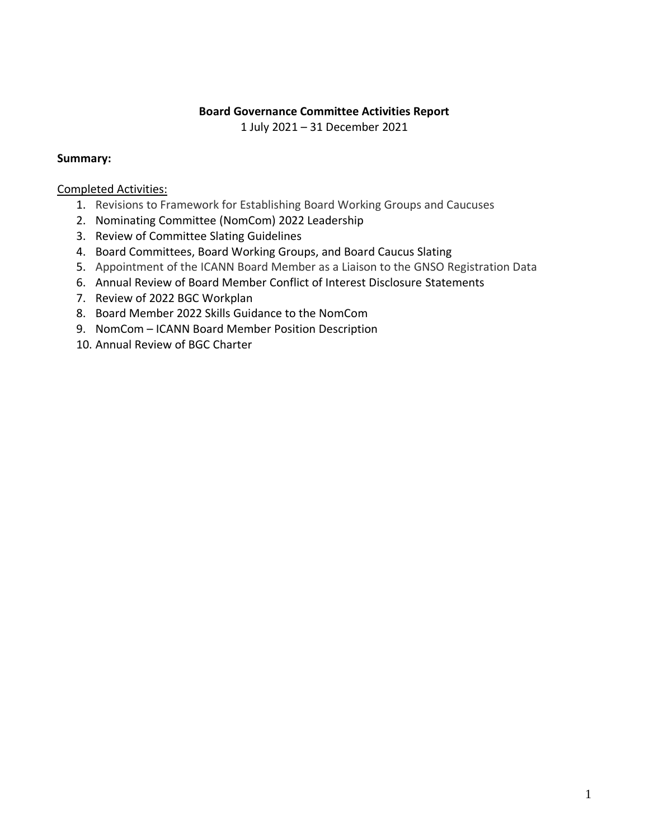## **Board Governance Committee Activities Report**

1 July 2021 – 31 December 2021

## **Summary:**

## Completed Activities:

- 1. Revisions to Framework for Establishing Board Working Groups and Caucuses
- 2. Nominating Committee (NomCom) 2022 Leadership
- 3. Review of Committee Slating Guidelines
- 4. Board Committees, Board Working Groups, and Board Caucus Slating
- 5. Appointment of the ICANN Board Member as a Liaison to the GNSO Registration Data
- 6. Annual Review of Board Member Conflict of Interest Disclosure Statements
- 7. Review of 2022 BGC Workplan
- 8. Board Member 2022 Skills Guidance to the NomCom
- 9. NomCom ICANN Board Member Position Description
- 10. Annual Review of BGC Charter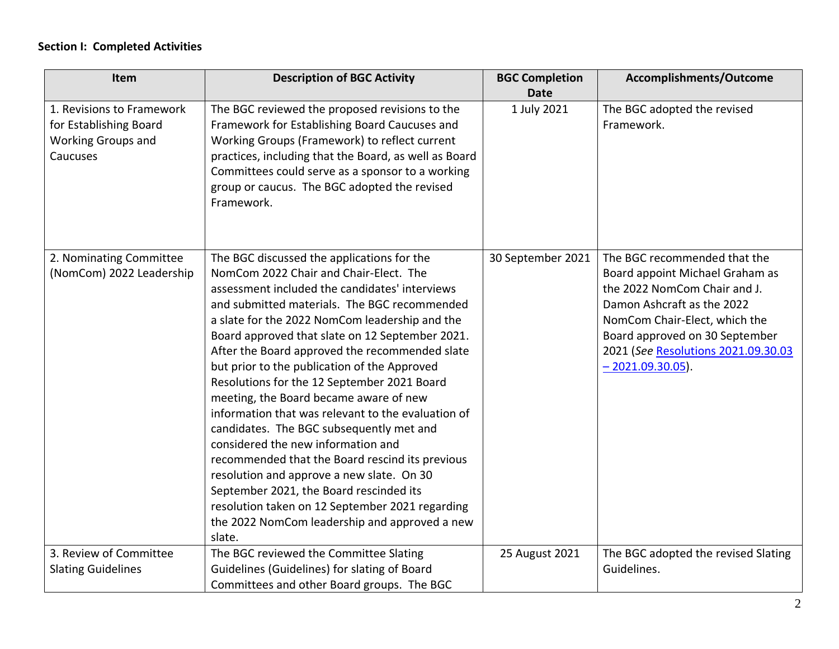## **Section I: Completed Activities**

| Item                                                                                         | <b>Description of BGC Activity</b>                                                                                                                                                                                                                                                                                                                                                                                                                                                                                                                                                                                                                                                                                                                                                                                                                                                      | <b>BGC Completion</b> | Accomplishments/Outcome                                                                                                                                                                                                                                       |
|----------------------------------------------------------------------------------------------|-----------------------------------------------------------------------------------------------------------------------------------------------------------------------------------------------------------------------------------------------------------------------------------------------------------------------------------------------------------------------------------------------------------------------------------------------------------------------------------------------------------------------------------------------------------------------------------------------------------------------------------------------------------------------------------------------------------------------------------------------------------------------------------------------------------------------------------------------------------------------------------------|-----------------------|---------------------------------------------------------------------------------------------------------------------------------------------------------------------------------------------------------------------------------------------------------------|
|                                                                                              |                                                                                                                                                                                                                                                                                                                                                                                                                                                                                                                                                                                                                                                                                                                                                                                                                                                                                         | <b>Date</b>           |                                                                                                                                                                                                                                                               |
| 1. Revisions to Framework<br>for Establishing Board<br><b>Working Groups and</b><br>Caucuses | The BGC reviewed the proposed revisions to the<br>Framework for Establishing Board Caucuses and<br>Working Groups (Framework) to reflect current<br>practices, including that the Board, as well as Board<br>Committees could serve as a sponsor to a working<br>group or caucus. The BGC adopted the revised<br>Framework.                                                                                                                                                                                                                                                                                                                                                                                                                                                                                                                                                             | 1 July 2021           | The BGC adopted the revised<br>Framework.                                                                                                                                                                                                                     |
| 2. Nominating Committee<br>(NomCom) 2022 Leadership                                          | The BGC discussed the applications for the<br>NomCom 2022 Chair and Chair-Elect. The<br>assessment included the candidates' interviews<br>and submitted materials. The BGC recommended<br>a slate for the 2022 NomCom leadership and the<br>Board approved that slate on 12 September 2021.<br>After the Board approved the recommended slate<br>but prior to the publication of the Approved<br>Resolutions for the 12 September 2021 Board<br>meeting, the Board became aware of new<br>information that was relevant to the evaluation of<br>candidates. The BGC subsequently met and<br>considered the new information and<br>recommended that the Board rescind its previous<br>resolution and approve a new slate. On 30<br>September 2021, the Board rescinded its<br>resolution taken on 12 September 2021 regarding<br>the 2022 NomCom leadership and approved a new<br>slate. | 30 September 2021     | The BGC recommended that the<br>Board appoint Michael Graham as<br>the 2022 NomCom Chair and J.<br>Damon Ashcraft as the 2022<br>NomCom Chair-Elect, which the<br>Board approved on 30 September<br>2021 (See Resolutions 2021.09.30.03<br>$-2021.09.30.05$ . |
| 3. Review of Committee<br><b>Slating Guidelines</b>                                          | The BGC reviewed the Committee Slating<br>Guidelines (Guidelines) for slating of Board<br>Committees and other Board groups. The BGC                                                                                                                                                                                                                                                                                                                                                                                                                                                                                                                                                                                                                                                                                                                                                    | 25 August 2021        | The BGC adopted the revised Slating<br>Guidelines.                                                                                                                                                                                                            |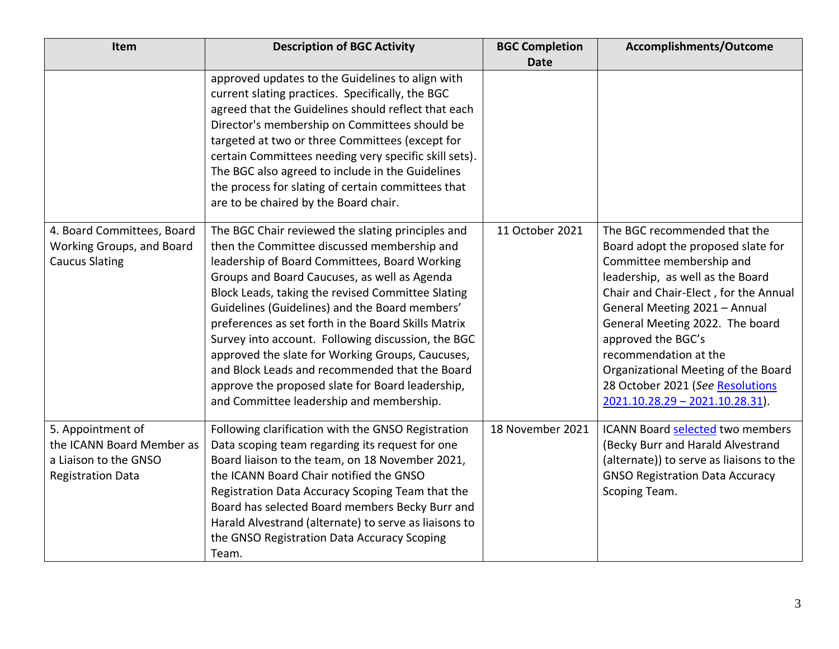| Item                                                                                                | <b>Description of BGC Activity</b>                                                                                                                                                                                                                                                                                                                                                                                                                                                                                                                                                                                          | <b>BGC Completion</b> | Accomplishments/Outcome                                                                                                                                                                                                                                                                                                                                                                                         |
|-----------------------------------------------------------------------------------------------------|-----------------------------------------------------------------------------------------------------------------------------------------------------------------------------------------------------------------------------------------------------------------------------------------------------------------------------------------------------------------------------------------------------------------------------------------------------------------------------------------------------------------------------------------------------------------------------------------------------------------------------|-----------------------|-----------------------------------------------------------------------------------------------------------------------------------------------------------------------------------------------------------------------------------------------------------------------------------------------------------------------------------------------------------------------------------------------------------------|
|                                                                                                     |                                                                                                                                                                                                                                                                                                                                                                                                                                                                                                                                                                                                                             | <b>Date</b>           |                                                                                                                                                                                                                                                                                                                                                                                                                 |
|                                                                                                     | approved updates to the Guidelines to align with<br>current slating practices. Specifically, the BGC<br>agreed that the Guidelines should reflect that each<br>Director's membership on Committees should be<br>targeted at two or three Committees (except for<br>certain Committees needing very specific skill sets).<br>The BGC also agreed to include in the Guidelines<br>the process for slating of certain committees that<br>are to be chaired by the Board chair.                                                                                                                                                 |                       |                                                                                                                                                                                                                                                                                                                                                                                                                 |
| 4. Board Committees, Board<br>Working Groups, and Board<br><b>Caucus Slating</b>                    | The BGC Chair reviewed the slating principles and<br>then the Committee discussed membership and<br>leadership of Board Committees, Board Working<br>Groups and Board Caucuses, as well as Agenda<br>Block Leads, taking the revised Committee Slating<br>Guidelines (Guidelines) and the Board members'<br>preferences as set forth in the Board Skills Matrix<br>Survey into account. Following discussion, the BGC<br>approved the slate for Working Groups, Caucuses,<br>and Block Leads and recommended that the Board<br>approve the proposed slate for Board leadership,<br>and Committee leadership and membership. | 11 October 2021       | The BGC recommended that the<br>Board adopt the proposed slate for<br>Committee membership and<br>leadership, as well as the Board<br>Chair and Chair-Elect, for the Annual<br>General Meeting 2021 - Annual<br>General Meeting 2022. The board<br>approved the BGC's<br>recommendation at the<br>Organizational Meeting of the Board<br>28 October 2021 (See Resolutions<br>$2021.10.28.29 - 2021.10.28.31$ ). |
| 5. Appointment of<br>the ICANN Board Member as<br>a Liaison to the GNSO<br><b>Registration Data</b> | Following clarification with the GNSO Registration<br>Data scoping team regarding its request for one<br>Board liaison to the team, on 18 November 2021,<br>the ICANN Board Chair notified the GNSO<br>Registration Data Accuracy Scoping Team that the<br>Board has selected Board members Becky Burr and<br>Harald Alvestrand (alternate) to serve as liaisons to<br>the GNSO Registration Data Accuracy Scoping<br>Team.                                                                                                                                                                                                 | 18 November 2021      | ICANN Board selected two members<br>(Becky Burr and Harald Alvestrand<br>(alternate)) to serve as liaisons to the<br><b>GNSO Registration Data Accuracy</b><br>Scoping Team.                                                                                                                                                                                                                                    |